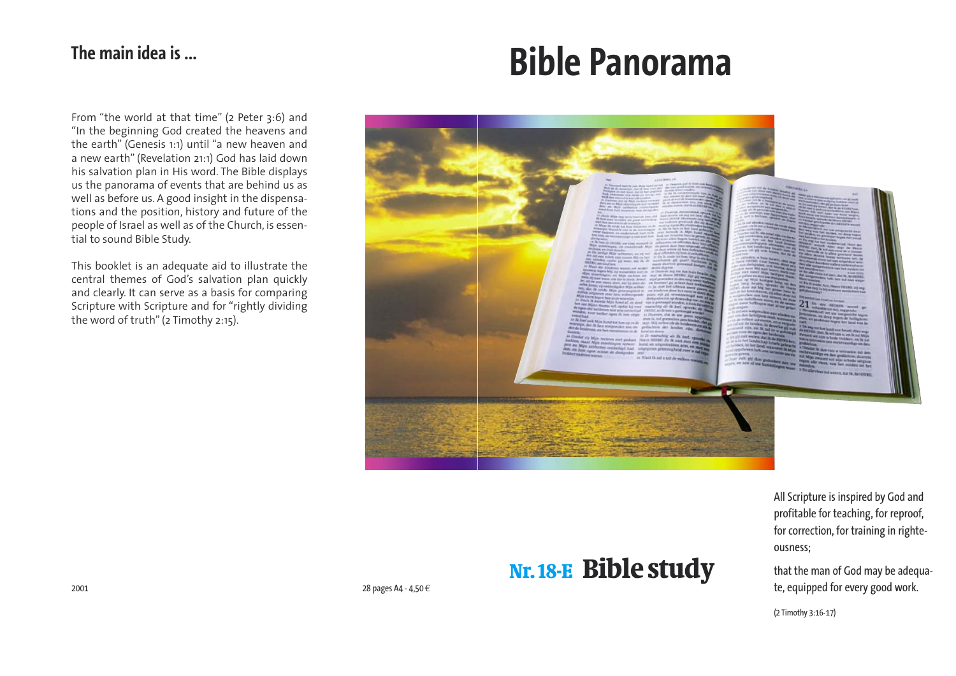# **Bible Panorama**

All Scripture is inspired by God and profitable for teaching, for reproof, for correction, for training in righteousness;

that the man of God may be adequate, equipped for every good work.

(2 Timothy 3:16-17)

# Nr. 18-E Bible study

From "the world at that time" (2 Peter 3:6) and "In the beginning God created the heavens and the earth" (Genesis 1:1) until "a new heaven and a new earth" (Revelation 21:1) God has laid down his salvation plan in His word. The Bible displays us the panorama of events that are behind us as well as before us. A good insight in the dispensations and the position, history and future of the people of Israel as well as of the Church, is essential to sound Bible Study.

This booklet is an adequate aid to illustrate the central themes of God's salvation plan quickly and clearly. It can serve as a basis for comparing Scripture with Scripture and for "rightly dividing the word of truth" (2 Timothy 2:15).



# **The main idea is ...**





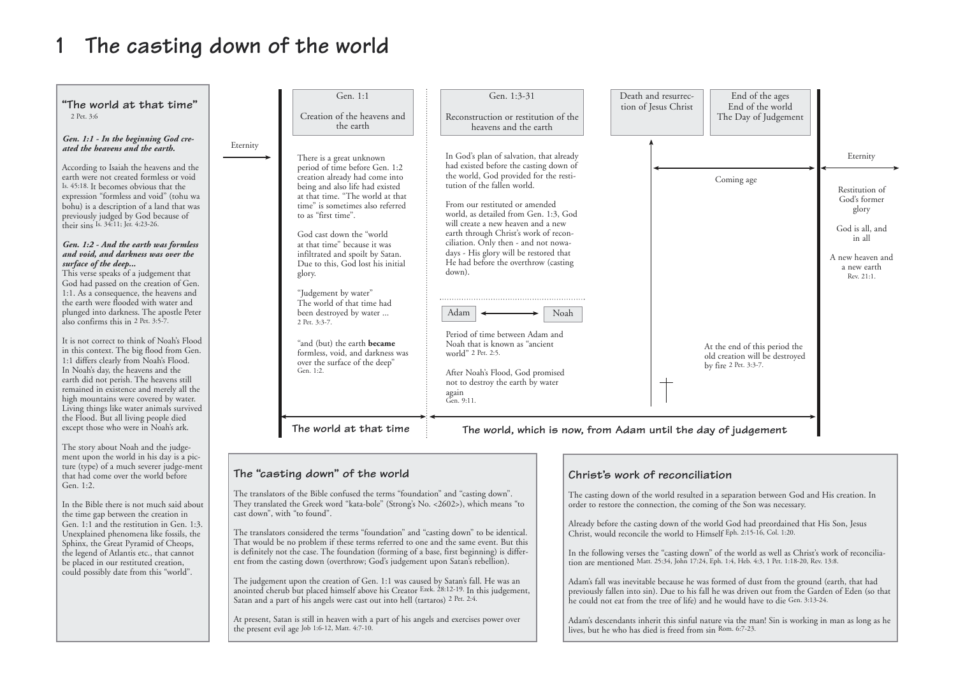# **1 The casting down of the world**

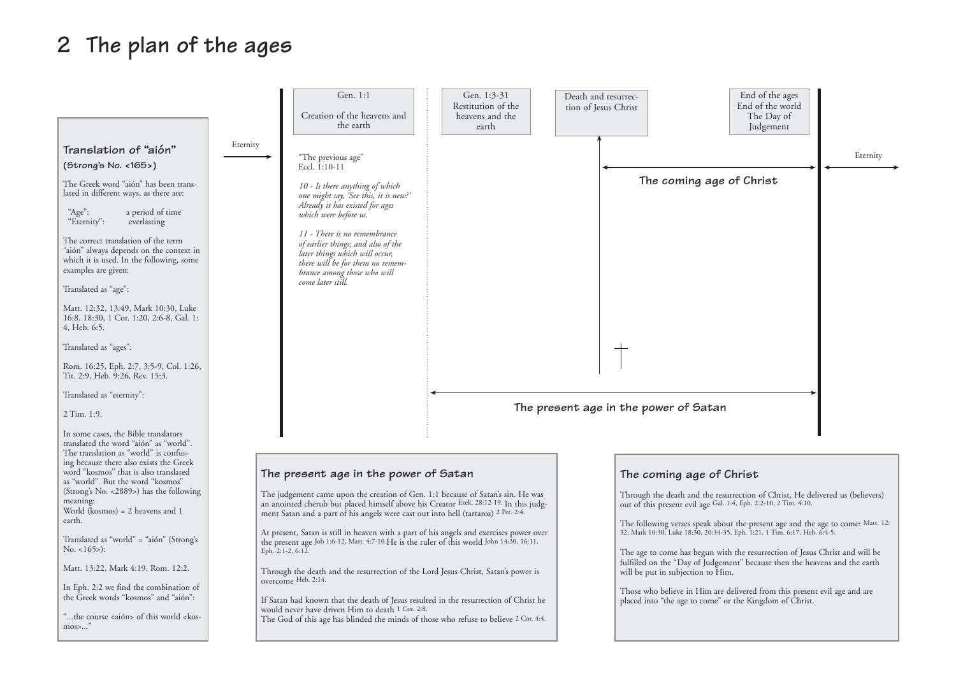# **2 The plan of the ages**

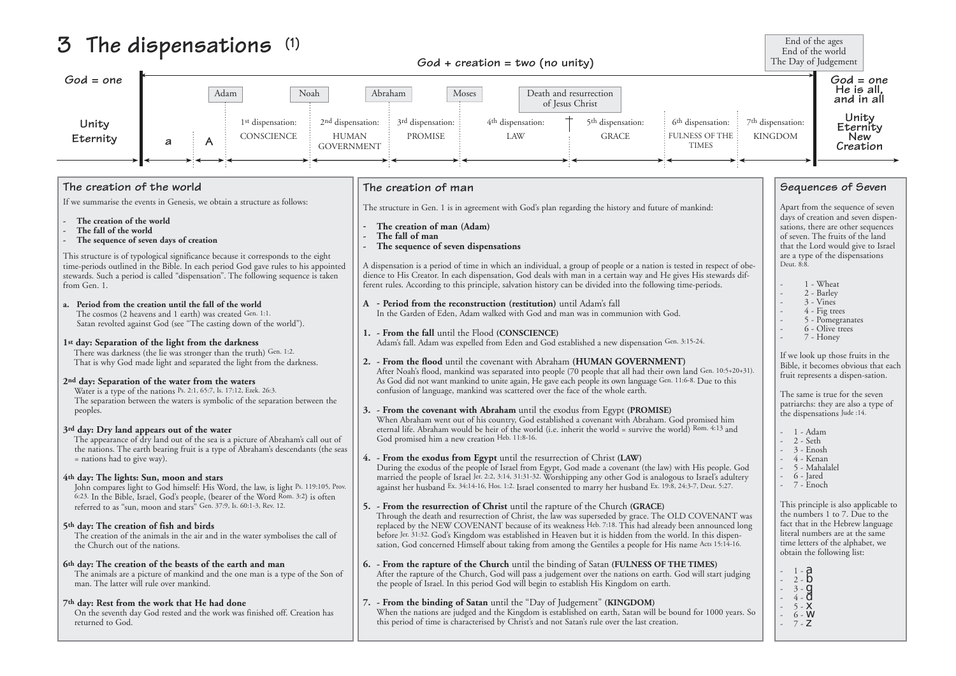# **3 The dispensations (1)**

### **The creation of the world**

If we summarise the events in Genesis, we obtain a structure as follows:

- **The creation of the world**
- **The fall of the world**
- **The sequence of seven days of creation**

This structure is of typological significance because it corresponds to the eight time-periods outlined in the Bible. In each period God gave rules to his appointed stewards. Such a period is called "dispensation". The following sequence is taken from Gen. 1.

### **a. Period from the creation until the fall of the world**

 The cosmos (2 heavens and 1 earth) was created Gen. 1:1. Satan revolted against God (see "The casting down of the world").

### **1st day: Separation of the light from the darkness**

 There was darkness (the lie was stronger than the truth) Gen. 1:2. That is why God made light and separated the light from the darkness.

The creation of the animals in the air and in the water symbolises the call of the Church out of the nations.

### **2nd day: Separation of the water from the waters**

 Water is a type of the nations Ps. 2:1, 65:7, Is. 17:12, Ezek. 26:3. The separation between the waters is symbolic of the separation between the peoples.

### **3rd day: Dry land appears out of the water**

 The appearance of dry land out of the sea is a picture of Abraham's call out of the nations. The earth bearing fruit is a type of Abraham's descendants (the seas = nations had to give way).

### **4th day: The lights: Sun, moon and stars**

A dispensation is a period of time in which an individual, a group of people or a nation is tested in respe dience to His Creator. In each dispensation, God deals with man in a certain way and He gives His stewa ferent rules. According to this principle, salvation history can be divided into the following time-periods.

 John compares light to God himself: His Word, the law, is light Ps. 119:105, Prov. 6:23. In the Bible, Israel, God's people, (bearer of the Word Rom. 3:2) is often referred to as "sun, moon and stars" Gen. 37:9, Is. 60:1-3, Rev. 12.

### **5th day: The creation of fish and birds**

### **6th day: The creation of the beasts of the earth and man**

The animals are a picture of mankind and the one man is a type of the Son of man. The latter will rule over mankind.

### **7th day: Rest from the work that He had done**

 On the seventh day God rested and the work was finished off. Creation has returned to God.

### **The creation of man**

The structure in Gen. 1 is in agreement with God's plan regarding the history and future of mankind:

- **The creation of man (Adam)**
- **The fall of man**
- **The sequence of seven dispensations**

When the nations are judged and the Kingdom is established on earth, Satan will be bound for 1000 this period of time is characterised by Christ's and not Satan's rule over the last creation.

- **A Period from the reconstruction (restitution)** until Adam's fall In the Garden of Eden, Adam walked with God and man was in communion with God.
- **1. From the fall** until the Flood **(CONSCIENCE)** Adam's fall. Adam was expelled from Eden and God established a new dispensation Gen. 3:15-24.
- **2. From the flood** until the covenant with Abraham **(HUMAN GOVERNMENT)** After Noah's flood, mankind was separated into people (70 people that all had their own land Gen. 10: As God did not want mankind to unite again, He gave each people its own language Gen. 11:6-8. Due to confusion of language, mankind was scattered over the face of the whole earth.
- **3. From the covenant with Abraham** until the exodus from Egypt **(PROMISE)** When Abraham went out of his country, God established a covenant with Abraham. God promised h eternal life. Abraham would be heir of the world (i.e. inherit the world = survive the world) Rom.  $4:13$ God promised him a new creation Heb. 11:8-16.

### **4. - From the exodus from Egypt** until the resurrection of Christ **(LAW)**

During the exodus of the people of Israel from Egypt, God made a covenant (the law) with His peop married the people of Israel Jer. 2:2, 3:14, 31:31-32. Worshipping any other God is analogous to Israel's a against her husband Ex. 34:14-16, Hos. 1:2. Israel consented to marry her husband Ex. 19:8, 24:3-7, Deut. 5:

### **5. - From the resurrection of Christ** until the rapture of the Church **(GRACE)**

Through the death and resurrection of Christ, the law was superseded by grace. The OLD COVENA replaced by the NEW COVENANT because of its weakness Heb. 7:18. This had already been announ before Jer. 31:32. God's Kingdom was established in Heaven but it is hidden from the world. In this di sation, God concerned Himself about taking from among the Gentiles a people for His name Acts 15:



| End of the ages<br>End of the world<br>The Day of Judgement |                                                                                                                                                                                                                                                            |                                                                                                                                                                                                                           |  |
|-------------------------------------------------------------|------------------------------------------------------------------------------------------------------------------------------------------------------------------------------------------------------------------------------------------------------------|---------------------------------------------------------------------------------------------------------------------------------------------------------------------------------------------------------------------------|--|
| God = one<br>He is all,<br>and in all                       |                                                                                                                                                                                                                                                            |                                                                                                                                                                                                                           |  |
| 7 <sup>th</sup> dispensation:<br>n:<br>НE<br><b>KINGDOM</b> |                                                                                                                                                                                                                                                            | Unity<br>Eternity<br>New<br>Creation                                                                                                                                                                                      |  |
|                                                             |                                                                                                                                                                                                                                                            |                                                                                                                                                                                                                           |  |
|                                                             |                                                                                                                                                                                                                                                            | Sequences of Seven                                                                                                                                                                                                        |  |
| ct of obe-<br>ards dif-                                     | Deut. 8:8.                                                                                                                                                                                                                                                 | Apart from the sequence of seven<br>days of creation and seven dispen-<br>sations, there are other sequences<br>of seven. The fruits of the land<br>that the Lord would give to Israel<br>are a type of the dispensations |  |
|                                                             |                                                                                                                                                                                                                                                            | 1 - Wheat<br>2 - Barley<br>3 - Vines<br>4 - Fig trees<br>5 - Pomegranates<br>6 - Olive trees<br>7 - Honey                                                                                                                 |  |
| $:5+20+31$ ).<br>this                                       | If we look up those fruits in the<br>Bible, it becomes obvious that each<br>fruit represents a dispen-sation.<br>The same is true for the seven<br>patriarchs: they are also a type of<br>the dispensations Jude :14.<br>1 - Adam<br>2 - Seth<br>3 - Enosh |                                                                                                                                                                                                                           |  |
| ıim<br>and                                                  |                                                                                                                                                                                                                                                            |                                                                                                                                                                                                                           |  |
| le. God<br>ıdultery<br>:27.                                 |                                                                                                                                                                                                                                                            | - 4 - Kenan<br>- 5 - Mahalalel<br>- 6 - Jared<br>- 7 - Enoch                                                                                                                                                              |  |
| <b>NT</b> was<br>ced long<br>spen-<br>$14-16.$              |                                                                                                                                                                                                                                                            | This principle is also applicable to<br>the numbers 1 to 7. Due to the<br>fact that in the Hebrew language<br>literal numbers are at the same<br>time letters of the alphabet, we<br>obtain the following list:           |  |
| judging                                                     | $1 - a$<br>$2 - b$<br>$3 - 9$<br>$4 - 0$                                                                                                                                                                                                                   |                                                                                                                                                                                                                           |  |
| years. So                                                   | $5 - M$<br>$5 - m$<br>6 - W<br>$7 - Z$                                                                                                                                                                                                                     |                                                                                                                                                                                                                           |  |

**6. - From the rapture of the Church** until the binding of Satan **(FULNESS OF THE TIMES)** After the rapture of the Church, God will pass a judgement over the nations on earth. God will start the people of Israel. In this period God will begin to establish His Kingdom on earth.

# **7. - From the binding of Satan** until the "Day of Judgement" **(KINGDOM)**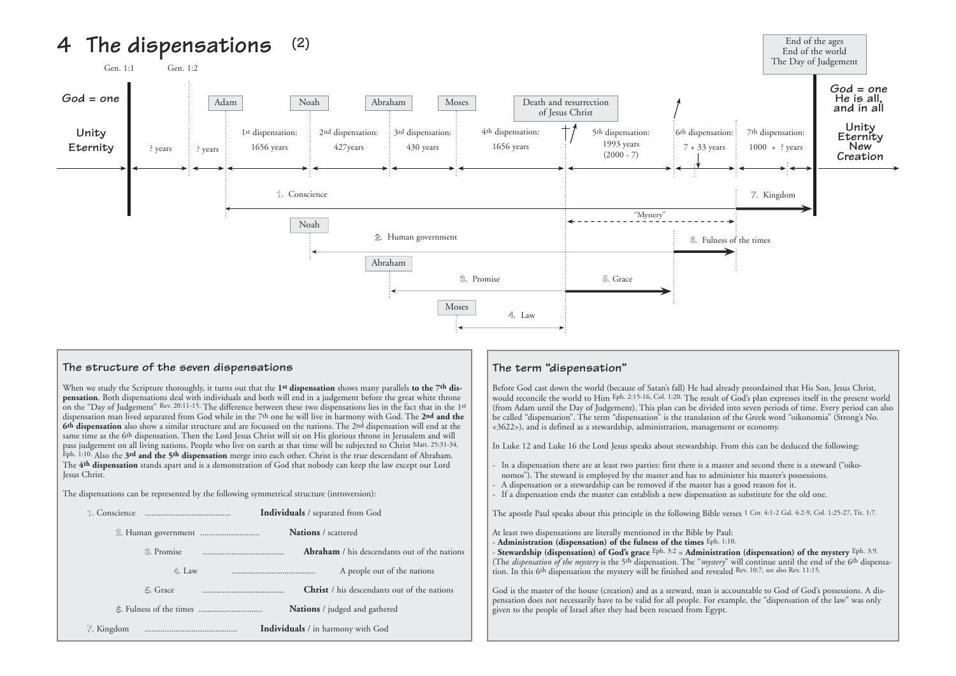### **The structure of the seven dispensations**

When we study the Scripture thoroughly, it turns out that the **1st dispensation** shows many parallels **to the 7th dispensation**. Both dispensations deal with individuals and both will end in a judgement before the great white throne on the "Day of Judgement" Rev. 20:11-15. The difference between these two dispensations lies in the fact that in the 1st dispensation man lived separated from God while in the 7th one he will live in harmony with God. The **2nd and the 6th dispensation** also show a similar structure and are focussed on the nations. The 2nd dispensation will end at the same time as the 6<sup>th</sup> dispensation. Then the Lord Jesus Christ will sit on His glorious throne in Jerusalem and will pass judgement on all living nations. People who live on earth at that time will be subjected to Christ Matt. 25:31-34, Eph. 1:10. Also the **3rd and the 5th dispensation** merge into each other. Christ is the true descendant of Abraham. The **4th dispensation** stands apart and is a demonstration of God that nobody can keep the law except our Lord Jesus Christ.

The dispensations can be represented by the following symmetrical structure (introversion):

- In a dispensation there are at least two parties: first there is a master and second there is a steward ("oiko nomos"). The steward is employed by the master and has to administer his master's possessions.
- A dispensation or a stewardship can be removed if the master has a good reason for it.
- If a dispensation ends the master can establish a new dispensation as substitute for the old one.





## **The term "dispensation"**

Before God cast down the world (because of Satan's fall) He had already preordained that His Son, Jesus Christ, would reconcile the world to Him Eph. 2:15-16, Col. 1:20. The result of God's plan expresses itself in the present world (from Adam until the Day of Judgement). This plan can be divided into seven periods of time. Every period can also be called "dispensation". The term "dispensation" is the translation of the Greek word "oikonomia" (Strong's No. <3622>), and is defined as a stewardship, administration, management or economy.

In Luke 12 and Luke 16 the Lord Jesus speaks about stewardship. From this can be deduced the following:

The apostle Paul speaks about this principle in the following Bible verses 1 Cor. 4:1-2 Gal. 4:2-9, Col. 1:25-27, Tit. 1:7.

At least two dispensations are literally mentioned in the Bible by Paul: - **Administration (dispensation) of the fulness of the times** Eph. 1:10. - **Stewardship (dispensation) of God's grace** Eph. 3:2 = **Administration (dispensation) of the mystery** Eph. 3:9. (The *dispensation of the mystery* is the 5th dispensation. The "*mystery*" will continue until the end of the 6th dispensation. In this 6th dispensation the mystery will be finished and revealed Rev. 10:7, see also Rev. 11:15.

God is the master of the house (creation) and as a steward, man is accountable to God of God's possessions. A dispensation does not necessarily have to be valid for all people. For example, the "dispensation of the law" was only given to the people of Israel after they had been rescued from Egypt.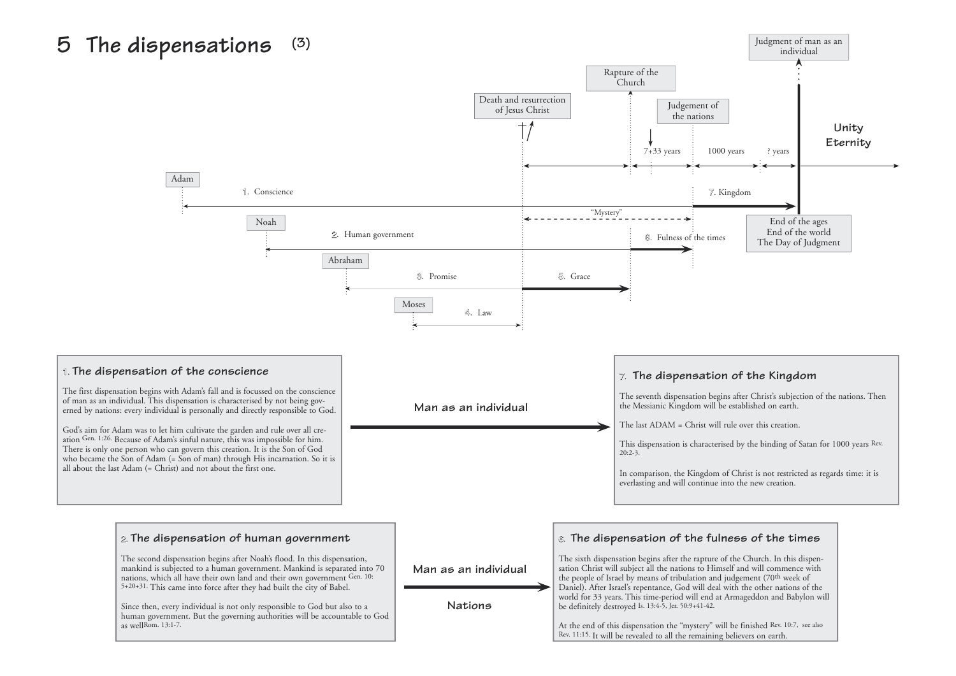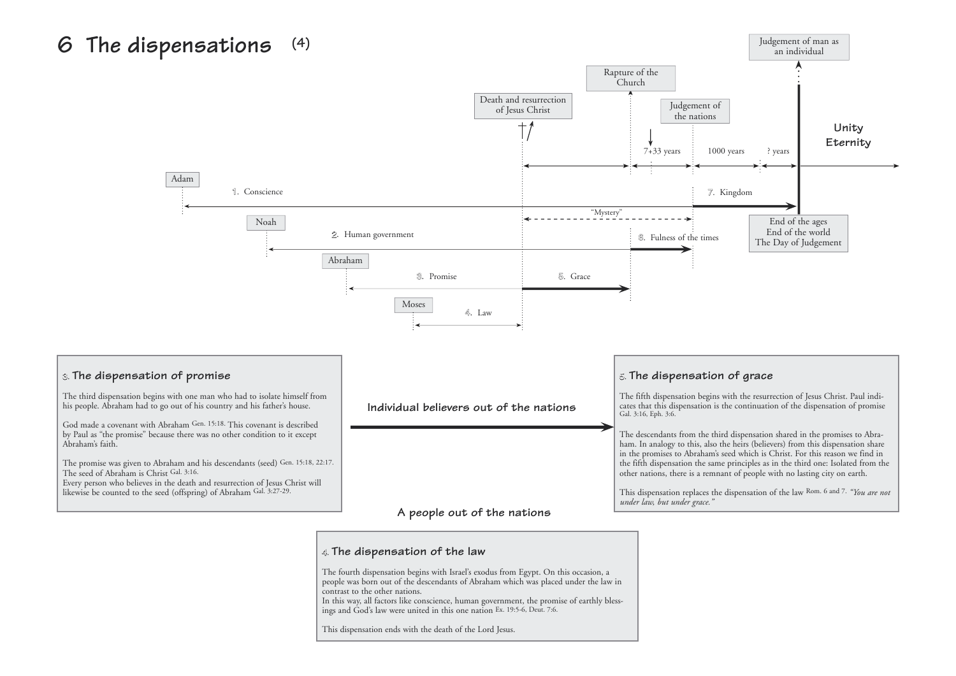# **6 The dispensations (4)**



### **<sup>4</sup>**. **The dispensation of the law**

The fourth dispensation begins with Israel's exodus from Egypt. On this occasion, a people was born out of the descendants of Abraham which was placed under the law in contrast to the other nations.

In this way, all factors like conscience, human government, the promise of earthly blessings and God's law were united in this one nation Ex. 19:5-6, Deut. 7:6.

This dispensation ends with the death of the Lord Jesus.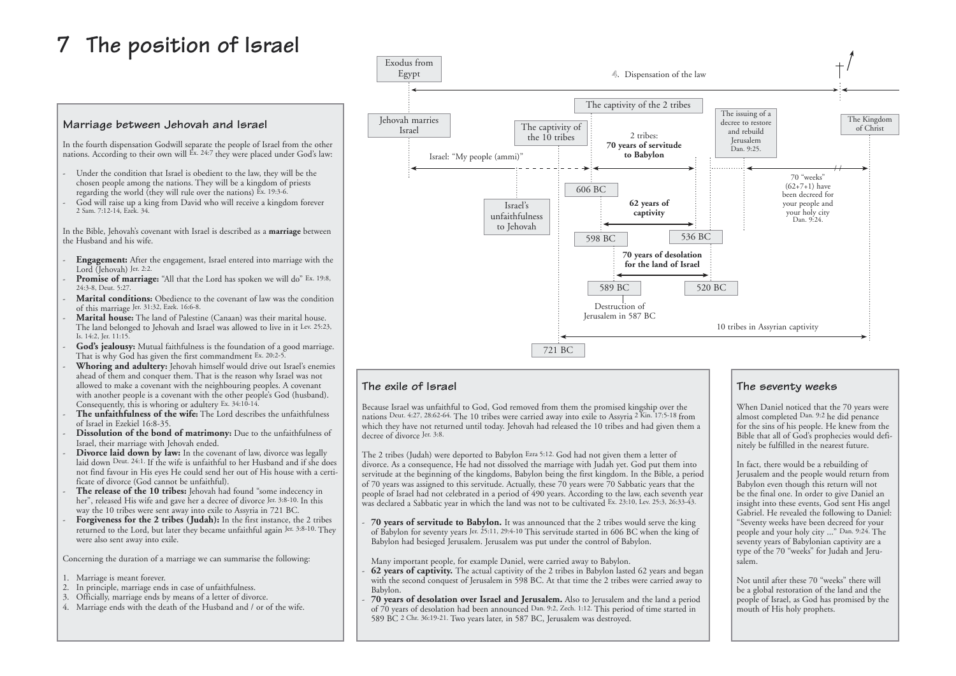# **7 The position of Israel**

### **Marriage between Jehovah and Israel**

In the fourth dispensation Godwill separate the people of Israel from the other nations. According to their own will Ex. 24:7 they were placed under God's law:

- Under the condition that Israel is obedient to the law, they will be the chosen people among the nations. They will be a kingdom of priests regarding the world (they will rule over the nations) Ex. 19:3-6.
- God will raise up a king from David who will receive a kingdom forever 2 Sam. 7:12-14, Ezek. 34.

In the Bible, Jehovah's covenant with Israel is described as a **marriage** between the Husband and his wife.

- **Engagement:** After the engagement, Israel entered into marriage with the Lord (Jehovah) Jer. 2:2.
- **Promise of marriage:** "All that the Lord has spoken we will do" Ex. 19:8,  $24.3 - 8$  Deut. 5:27
- Marital conditions: Obedience to the covenant of law was the condition of this marriage Jer. 31:32, Ezek. 16:6-8.
- Marital house: The land of Palestine (Canaan) was their marital house. The land belonged to Jehovah and Israel was allowed to live in it Lev. 25:23, Is. 14:2, Jer. 11:15.
- God's jealousy: Mutual faithfulness is the foundation of a good marriage. That is why God has given the first commandment Ex. 20:2-5.
- Whoring and adultery: Jehovah himself would drive out Israel's enemies ahead of them and conquer them. That is the reason why Israel was not allowed to make a covenant with the neighbouring peoples. A covenant with another people is a covenant with the other people's God (husband). Consequently, this is whoring or adultery Ex. 34:10-14.
- The unfaithfulness of the wife: The Lord describes the unfaithfulness of Israel in Ezekiel 16:8-35.
- Dissolution of the bond of matrimony: Due to the unfaithfulness of Israel, their marriage with Jehovah ended.
- **Divorce laid down by law:** In the covenant of law, divorce was legally laid down Deut. 24:1. If the wife is unfaithful to her Husband and if she does not find favour in His eyes He could send her out of His house with a certi ficate of divorce (God cannot be unfaithful).
- The release of the 10 tribes: Jehovah had found "some indecency in her", released His wife and gave her a decree of divorce Jer. 3:8-10. In this way the 10 tribes were sent away into exile to Assyria in 721 BC.
- Forgiveness for the 2 tribes (Judah): In the first instance, the 2 tribes returned to the Lord, but later they became unfaithful again Jer. 3:8-10. They were also sent away into exile.

Concerning the duration of a marriage we can summarise the following:

- 1. Marriage is meant forever.
- 2. In principle, marriage ends in case of unfaithfulness.
- 3. Officially, marriage ends by means of a letter of divorce.
- 4. Marriage ends with the death of the Husband and / or of the wife.

### **The exile of Israel**

Because Israel was unfaithful to God, God removed from them the promised kingship over the nations Deut. 4:27, 28:62-64. The 10 tribes were carried away into exile to Assyria 2 Kin. 17:5-18 from which they have not returned until today. Jehovah had released the 10 tribes and had given them a decree of divorce Jer. 3:8.

The 2 tribes (Judah) were deported to Babylon Ezra 5:12. God had not given them a letter of divorce. As a consequence, He had not dissolved the marriage with Judah yet. God put them into servitude at the beginning of the kingdoms, Babylon being the first kingdom. In the Bible, a period of 70 years was assigned to this servitude. Actually, these 70 years were 70 Sabbatic years that the people of Israel had not celebrated in a period of 490 years. According to the law, each seventh year was declared a Sabbatic year in which the land was not to be cultivated Ex. 23:10, Lev. 25:3, 26:33-43.

- **70 years of servitude to Babylon.** It was announced that the 2 tribes would serve the king of Babylon for seventy years Jer. 25:11, 29:4-10 This servitude started in 606 BC when the king of Babylon had besieged Jerusalem. Jerusalem was put under the control of Babylon.

Many important people, for example Daniel, were carried away to Babylon.

- **62 years of captivity.** The actual captivity of the 2 tribes in Babylon lasted 62 years and began with the second conquest of Jerusalem in 598 BC. At that time the 2 tribes were carried away to Babylon.
- **70 years of desolation over Israel and Jerusalem.** Also to Jerusalem and the land a period of 70 years of desolation had been announced Dan. 9:2, Zech. 1:12. This period of time started in 589 BC 2 Chr. 36:19-21. Two years later, in 587 BC, Jerusalem was destroyed.

# **The seventy weeks**

When Daniel noticed that the 70 years were almost completed Dan. 9:2 he did penance for the sins of his people. He knew from the Bible that all of God's prophecies would definitely be fulfilled in the nearest future.

In fact, there would be a rebuilding of Jerusalem and the people would return from Babylon even though this return will not be the final one. In order to give Daniel an insight into these events, God sent His angel Gabriel. He revealed the following to Daniel: "Seventy weeks have been decreed for your people and your holy city ..." Dan. 9:24. The seventy years of Babylonian captivity are a type of the 70 "weeks" for Judah and Jerusalem.

Not until after these 70 "weeks" there will be a global restoration of the land and the people of Israel, as God has promised by the mouth of His holy prophets.

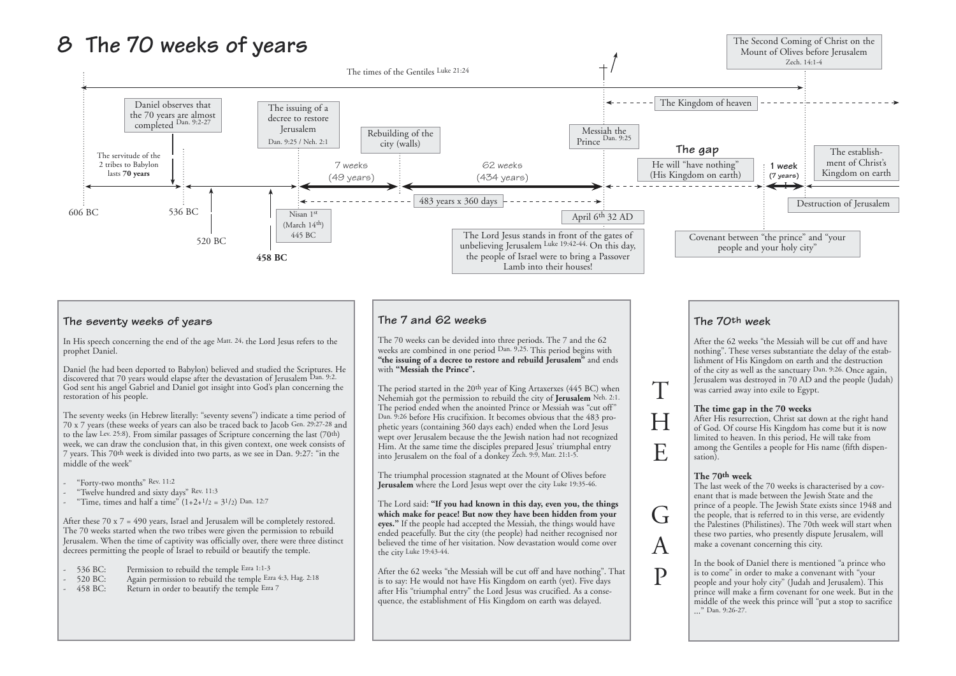# **8 The 70 weeks of years**

### **The seventy weeks of years**

In His speech concerning the end of the age Matt. 24, the Lord Jesus refers to the prophet Daniel.

Daniel (he had been deported to Babylon) believed and studied the Scriptures. He discovered that 70 years would elapse after the devastation of Jerusalem Dan. 9:2. God sent his angel Gabriel and Daniel got insight into God's plan concerning the restoration of his people.

- "Forty-two months" Rev. 11:2
- "Twelve hundred and sixty days" Rev. 11:3
- "Time, times and half a time"  $(1+2+1/2 = 3^{1/2})$  Dan. 12:7

The seventy weeks (in Hebrew literally: "seventy sevens") indicate a time period of 70 x 7 years (these weeks of years can also be traced back to Jacob Gen. 29:27-28 and to the law Lev. 25:8). From similar passages of Scripture concerning the last (70th) week, we can draw the conclusion that, in this given context, one week consists of 7 years. This 70th week is divided into two parts, as we see in Dan. 9:27: "in the middle of the week"

- 536 BC: Permission to rebuild the temple Ezra 1:1-3
- 520 BC: Again permission to rebuild the temple Ezra 4:3, Hag. 2:18
- 458 BC: Return in order to beautify the temple Ezra 7

The triumphal procession stagnated at the Mount of Olives before Jerusalem where the Lord Jesus wept over the city Luke 19:35-46.

After these 70 x 7 = 490 years, Israel and Jerusalem will be completely restored. The 70 weeks started when the two tribes were given the permission to rebuild Jerusalem. When the time of captivity was officially over, there were three distinct decrees permitting the people of Israel to rebuild or beautify the temple.

### **The 7 and 62 weeks**

The 70 weeks can be devided into three periods. The 7 and the 62 weeks are combined in one period Dan. 9,25. This period begins with "the issuing of a decree to restore and rebuild Jerusalem" and ends with **"Messiah the Prince".**

The period started in the 20th year of King Artaxerxes (445 BC) when Nehemiah got the permission to rebuild the city of **Jerusalem** Neh. 2:1. The period ended when the anointed Prince or Messiah was "cut off" Dan. 9:26 before His crucifixion. It becomes obvious that the 483 prophetic years (containing 360 days each) ended when the Lord Jesus wept over Jerusalem because the the Jewish nation had not recognized Him. At the same time the disciples prepared Jesus' triumphal entry into Jerusalem on the foal of a donkey Zech. 9:9, Matt. 21:1-5.

> In the book of Daniel there is mentioned "a prince who is to come" in order to make a convenant with "your people and your holy city" (Judah and Jerusalem). This prince will make a firm covenant for one week. But in the middle of the week this prince will "put a stop to sacrifice ..." Dan. 9:26-27.

The Lord said: **"If you had known in this day, even you, the things which make for peace! But now they have been hidden from your eyes."** If the people had accepted the Messiah, the things would have ended peacefully. But the city (the people) had neither recognised nor believed the time of her visitation. Now devastation would come over the city Luke 19:43-44.

After the 62 weeks "the Messiah will be cut off and have nothing". That is to say: He would not have His Kingdom on earth (yet). Five days after His "triumphal entry" the Lord Jesus was crucified. As a consequence, the establishment of His Kingdom on earth was delayed.

### **The 70th week**

After the 62 weeks "the Messiah will be cut off and have nothing". These verses substantiate the delay of the establishment of His Kingdom on earth and the destruction of the city as well as the sanctuary Dan. 9:26. Once again, Jerusalem was destroyed in 70 AD and the people (Judah) was carried away into exile to Egypt.

### **The time gap in the 70 weeks**

After His resurrection, Christ sat down at the right hand of God. Of course His Kingdom has come but it is now limited to heaven. In this period, He will take from among the Gentiles a people for His name (fifth dispen-

# sation).

**The 70th week** The last week of the 70 weeks is characterised by a covenant that is made between the Jewish State and the prince of a people. The Jewish State exists since 1948 and the people, that is referred to in this verse, are evidently the Palestines (Philistines). The 70th week will start when these two parties, who presently dispute Jerusalem, will make a covenant concerning this city.

T

H

E

 $\overline{\mathsf{G}}$ 

A

P

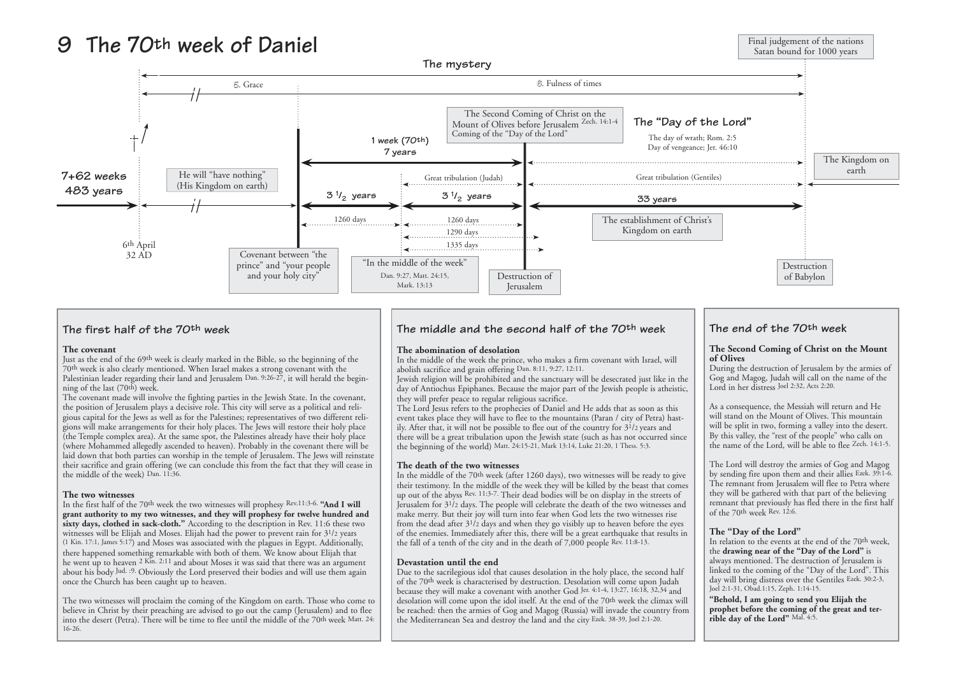### **The first half of the 70th week**

### **The covenant**

Just as the end of the 69th week is clearly marked in the Bible, so the beginning of the 70th week is also clearly mentioned. When Israel makes a strong covenant with the Palestinian leader regarding their land and Jerusalem Dan. 9:26-27, it will herald the beginning of the last (70th) week.

The covenant made will involve the fighting parties in the Jewish State. In the covenant, the position of Jerusalem plays a decisive role. This city will serve as a political and religious capital for the Jews as well as for the Palestines; representatives of two different religions will make arrangements for their holy places. The Jews will restore their holy place (the Temple complex area). At the same spot, the Palestines already have their holy place (where Mohammed allegedly ascended to heaven). Probably in the covenant there will be laid down that both parties can worship in the temple of Jerusalem. The Jews will reinstate their sacrifice and grain offering (we can conclude this from the fact that they will cease in the middle of the week) Dan. 11:36.

### **The two witnesses**

The Lord Jesus refers to the prophecies of Daniel and He adds that as soon as this event takes place they will have to flee to the mountains (Paran / city of Petra) hastily. After that, it will not be possible to flee out of the country for  $3^{1/2}$  years and there will be a great tribulation upon the Jewish state (such as has not occurred since the beginning of the world) Matt. 24:15-21, Mark 13:14, Luke 21:20, 1 Thess. 5:3.

In the first half of the 70th week the two witnesses will prophesy Rev.11:3-6. **"And I will grant authority to my two witnesses, and they will prophesy for twelve hundred and sixty days, clothed in sack-cloth."** According to the description in Rev. 11:6 these two witnesses will be Elijah and Moses. Elijah had the power to prevent rain for 3<sup>1</sup>/2 years (1 Kin. 17:1, James 5:17) and Moses was associated with the plagues in Egypt. Additionally, there happened something remarkable with both of them. We know about Elijah that he went up to heaven 2 Kin. 2:11 and about Moses it was said that there was an argument about his body Jud. :9. Obviously the Lord preserved their bodies and will use them again once the Church has been caught up to heaven.

The two witnesses will proclaim the coming of the Kingdom on earth. Those who come to believe in Christ by their preaching are advised to go out the camp (Jerusalem) and to flee into the desert (Petra). There will be time to flee until the middle of the 70th week Matt. 24: 16-26.

## **The middle and the second half of the 70th week**

### **The abomination of desolation**

In the middle of the week the prince, who makes a firm covenant with Israel, will abolish sacrifice and grain offering Dan. 8:11, 9:27, 12:11.

Jewish religion will be prohibited and the sanctuary will be desecrated just like in the day of Antiochus Epiphanes. Because the major part of the Jewish people is atheistic, they will prefer peace to regular religious sacrifice.

### **The death of the two witnesses**



In the middle of the 70th week (after 1260 days), two witnesses will be ready to give their testimony. In the middle of the week they will be killed by the beast that comes up out of the abyss Rev. 11:3-7. Their dead bodies will be on display in the streets of Jerusalem for 31/2 days. The people will celebrate the death of the two witnesses and make merry. But their joy will turn into fear when God lets the two witnesses rise from the dead after  $3^{1/2}$  days and when they go visibly up to heaven before the eyes of the enemies. Immediately after this, there will be a great earthquake that results in the fall of a tenth of the city and in the death of 7,000 people Rev. 11:8-13.

### **Devastation until the end**

Due to the sacrilegious idol that causes desolation in the holy place, the second half of the 70th week is characterised by destruction. Desolation will come upon Judah because they will make a covenant with another God Jer. 4:1-4, 13:27, 16:18, 32,34 and desolation will come upon the idol itself. At the end of the 70th week the climax will be reached: then the armies of Gog and Magog (Russia) will invade the country from the Mediterranean Sea and destroy the land and the city Ezek. 38-39, Joel 2:1-20.

# **The end of the 70th week**

# **The Second Coming of Christ on the Mount**

**of Olives** During the destruction of Jerusalem by the armies of Gog and Magog, Judah will call on the name of the Lord in her distress Joel 2:32, Acts 2:20.

As a consequence, the Messiah will return and He will stand on the Mount of Olives. This mountain will be split in two, forming a valley into the desert. By this valley, the "rest of the people" who calls on the name of the Lord, will be able to flee Zech. 14:1-5.

The Lord will destroy the armies of Gog and Magog by sending fire upon them and their allies Ezek. 39:1-6. The remnant from Jerusalem will flee to Petra where they will be gathered with that part of the believing remnant that previously has fled there in the first half of the 70th week Rev. 12:6.

### **The "Day of the Lord"**

In relation to the events at the end of the 70th week, the **drawing near of the "Day of the Lord"** is always mentioned. The destruction of Jerusalem is linked to the coming of the "Day of the Lord". This day will bring distress over the Gentiles Ezek. 30:2-3, Joel 2:1-31, Obad.1:15, Zeph. 1:14-15.

**"Behold, I am going to send you Elijah the prophet before the coming of the great and terrible day of the Lord"** Mal. 4:5.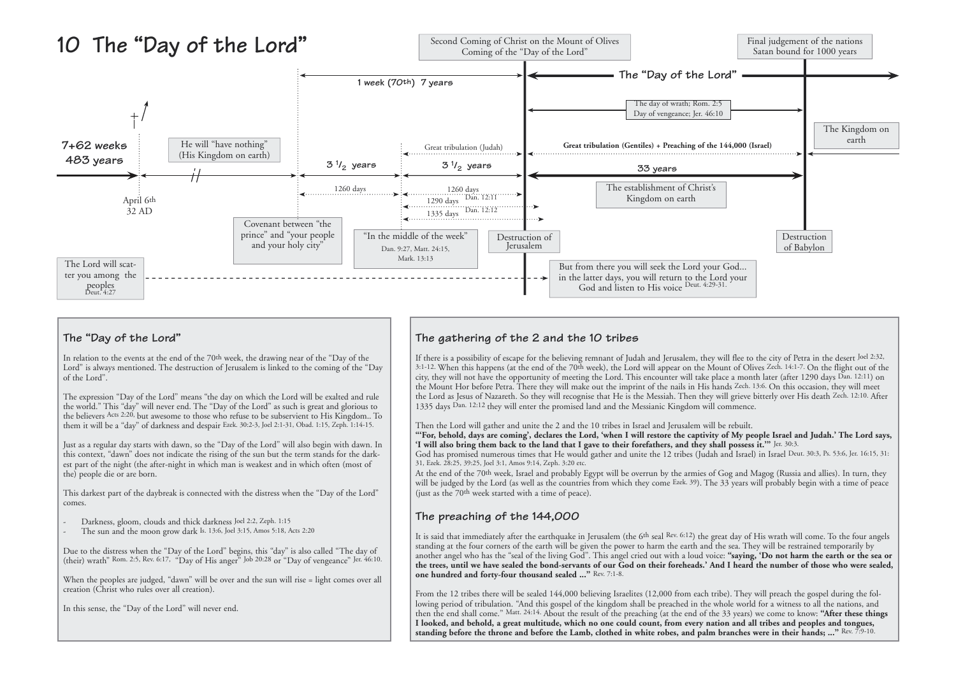### **The "Day of the Lord"**

In relation to the events at the end of the 70th week, the drawing near of the "Day of the Lord" is always mentioned. The destruction of Jerusalem is linked to the coming of the "Day of the Lord".

The expression "Day of the Lord" means "the day on which the Lord will be exalted and rule the world." This "day" will never end. The "Day of the Lord" as such is great and glorious to the believers Acts 2:20, but awesome to those who refuse to be subservient to His Kingdom.. To them it will be a "day" of darkness and despair Ezek. 30:2-3, Joel 2:1-31, Obad. 1:15, Zeph. 1:14-15.

Due to the distress when the "Day of the Lord" begins, this "day" is also called "The day of (their) wrath" Rom. 2:5, Rev. 6:17, "Day of His anger" Job 20:28 or "Day of vengeance" Jer. 46:10.

Just as a regular day starts with dawn, so the "Day of the Lord" will also begin with dawn. In this context, "dawn" does not indicate the rising of the sun but the term stands for the darkest part of the night (the after-night in which man is weakest and in which often (most of the) people die or are born.

This darkest part of the daybreak is connected with the distress when the "Day of the Lord" comes.

- Darkness, gloom, clouds and thick darkness Joel 2:2, Zeph. 1:15
- The sun and the moon grow dark Is. 13:6, Joel 3:15, Amos 5:18, Acts 2:20

When the peoples are judged, "dawn" will be over and the sun will rise = light comes over all creation (Christ who rules over all creation).

In this sense, the "Day of the Lord" will never end.

# **The gathering of the 2 and the 10 tribes**

It is said that immediately after the earthquake in Jerusalem (the 6th seal Rev. 6:12) the great day of His wrath will come. To the four angels standing at the four corners of the earth will be given the power to harm the earth and the sea. They will be restrained temporarily by another angel who has the "seal of the living God". This angel cried out with a loud voice: **"saying, 'Do not harm the earth or the sea or the trees, until we have sealed the bond-servants of our God on their foreheads.' And I heard the number of those who were sealed, one hundred and forty-four thousand sealed ..."** Rev. 7:1-8.

If there is a possibility of escape for the believing remnant of Judah and Jerusalem, they will flee to the city of Petra in the desert Joel 2:32, 3:1-12. When this happens (at the end of the 70th week), the Lord will appear on the Mount of Olives Zech. 14:1-7. On the flight out of the city, they will not have the opportunity of meeting the Lord. This encounter will take place a month later (after 1290 days Dan. 12:11) on the Mount Hor before Petra. There they will make out the imprint of the nails in His hands Zech. 13:6. On this occasion, they will meet the Lord as Jesus of Nazareth. So they will recognise that He is the Messiah. Then they will grieve bitterly over His death Zech. 12:10. After 1335 days Dan. 12:12 they will enter the promised land and the Messianic Kingdom will commence.

Then the Lord will gather and unite the 2 and the 10 tribes in Israel and Jerusalem will be rebuilt. **"'For, behold, days are coming', declares the Lord, 'when I will restore the captivity of My people Israel and Judah.' The Lord says, 'I will also bring them back to the land that I gave to their forefathers, and they shall possess it.'"** Jer. 30:3. God has promised numerous times that He would gather and unite the 12 tribes (Judah and Israel) in Israel Deut. 30:3, Ps. 53:6, Jer. 16:15, 31: 31, Ezek. 28:25, 39:25, Joel 3:1, Amos 9:14, Zeph. 3:20 etc.



At the end of the 70th week, Israel and probably Egypt will be overrun by the armies of Gog and Magog (Russia and allies). In turn, they will be judged by the Lord (as well as the countries from which they come Ezek. 39). The 33 years will probably begin with a time of peace (just as the 70th week started with a time of peace).

# **The preaching of the 144,000**

From the 12 tribes there will be sealed 144,000 believing Israelites (12,000 from each tribe). They will preach the gospel during the following period of tribulation. "And this gospel of the kingdom shall be preached in the whole world for a witness to all the nations, and then the end shall come." Matt. 24:14. About the result of the preaching (at the end of the 33 years) we come to know: **"After these things I looked, and behold, a great multitude, which no one could count, from every nation and all tribes and peoples and tongues, standing before the throne and before the Lamb, clothed in white robes, and palm branches were in their hands; ..."** Rev. 7:9-10.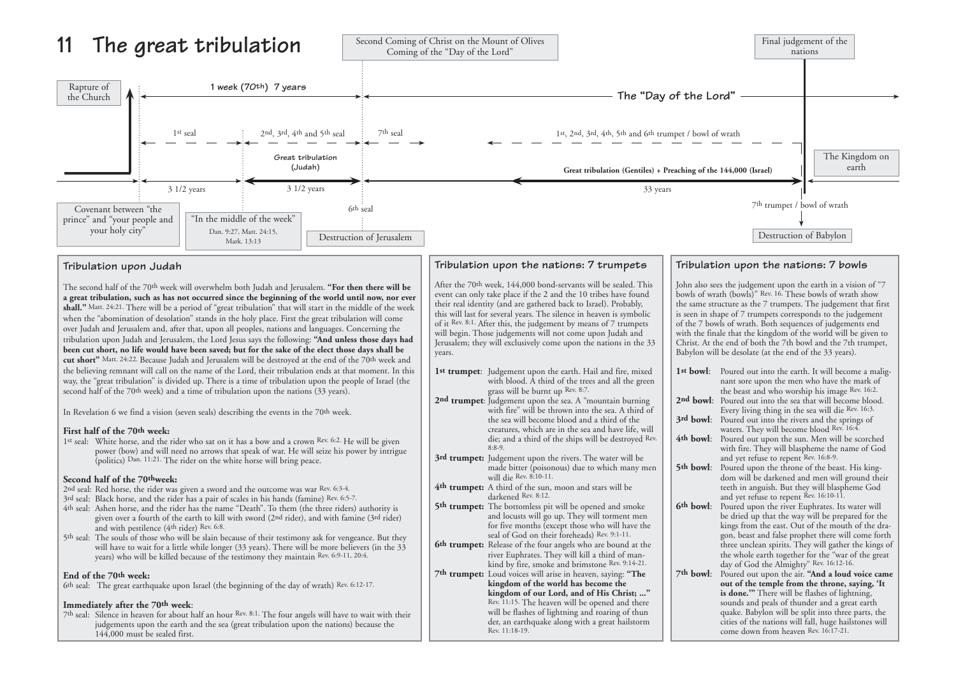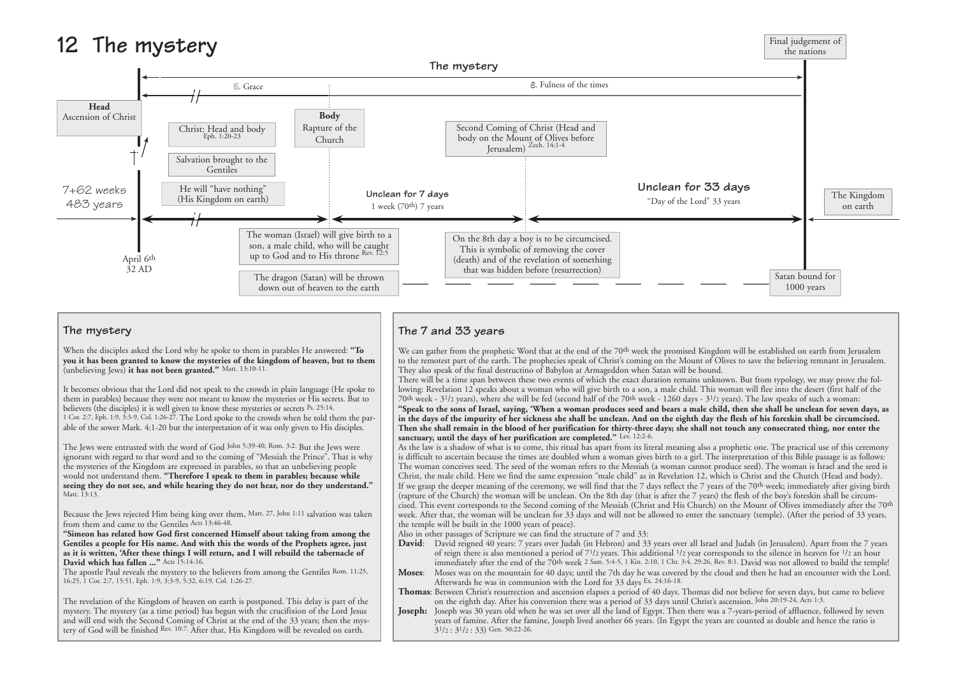the mysteries of the Kingdom are expressed in parables, so that an unbelieving people would not understand them. **"Therefore I speak to them in parables; because while seeing they do not see, and while hearing they do not hear, nor do they understand."** Matt. 13:13.

Because the Jews rejected Him being king over them, Matt. 27, John 1:11 salvation was taken from them and came to the Gentiles Acts 13:46-48.

**"Simeon has related how God first concerned Himself about taking from among the Gentiles a people for His name. And with this the words of the Prophets agree, just as it is written, 'After these things I will return, and I will rebuild the tabernacle of David which has fallen ..."** Acts 15:14-16.

The apostle Paul reveals the mystery to the believers from among the Gentiles Rom. 11:25, 16:25, 1 Cor. 2:7, 15:51, Eph. 1:9, 3:3-9, 5:32, 6:19, Col. 1:26-27.

The revelation of the Kingdom of heaven on earth is postponed. This delay is part of the mystery. The mystery (as a time period) has begun with the crucifixion of the Lord Jesus and will end with the Second Coming of Christ at the end of the 33 years; then the mystery of God will be finished Rev. 10:7. After that, His Kingdom will be revealed on earth.

- David: David reigned 40 years: 7 years over Judah (in Hebron) and 33 years over all Israel and Judah (in Jerusalem). Apart from the 7 years of reign there is also mentioned a period of 71/2 years. This additional 1/2 year corresponds to the silence in heaven for 1/2 an hour immediately after the end of the 70th week 2 Sam. 5:4-5, 1 Kin. 2:10, 1 Chr. 3:4, 29:26, Rev. 8:1. David was not allowed to build the temple!
- **Moses**: Moses was on the mountain for 40 days; until the 7th day he was covered by the cloud and then he had an encounter with the Lord. Afterwards he was in communion with the Lord for 33 days Ex. 24:16-18.

**Joseph:** Joseph was 30 years old when he was set over all the land of Egypt. Then there was a 7-years-period of affluence, followed by seven years of famine. After the famine, Joseph lived another 66 years. (In Egypt the years are counted as double and hence the ratio is  $3^{1}/2$ :  $3^{1}/2$ : 33) Gen. 50:22-26.



The woman conceives seed. The seed of the woman refers to the Messiah (a woman cannot produce seed). The woman is Israel and the seed is Christ, the male child. Here we find the same expression "male child" as in Revelation 12, which is Christ and the Church (Head and body). If we grasp the deeper meaning of the ceremony, we will find that the 7 days reflect the 7 years of the 70<sup>th</sup> week; immediately after giving birth (rapture of the Church) the woman will be unclean. On the 8th day (that is after the 7 years) the flesh of the boy's foreskin shall be circumcised. This event corresponds to the Second coming of the Messiah (Christ and His Church) on the Mount of Olives immediately after the 70th week. After that, the woman will be unclean for 33 days and will not be allowed to enter the sanctuary (temple). (After the period of 33 years, the temple will be built in the 1000 years of peace).

Also in other passages of Scripture we can find the structure of 7 and 33:

**Thomas**: Between Christ's resurrection and ascension elapses a period of 40 days. Thomas did not believe for seven days, but came to believe on the eighth day. After his conversion there was a period of 33 days until Christ's ascension. John 20:19-24, Acts 1:3.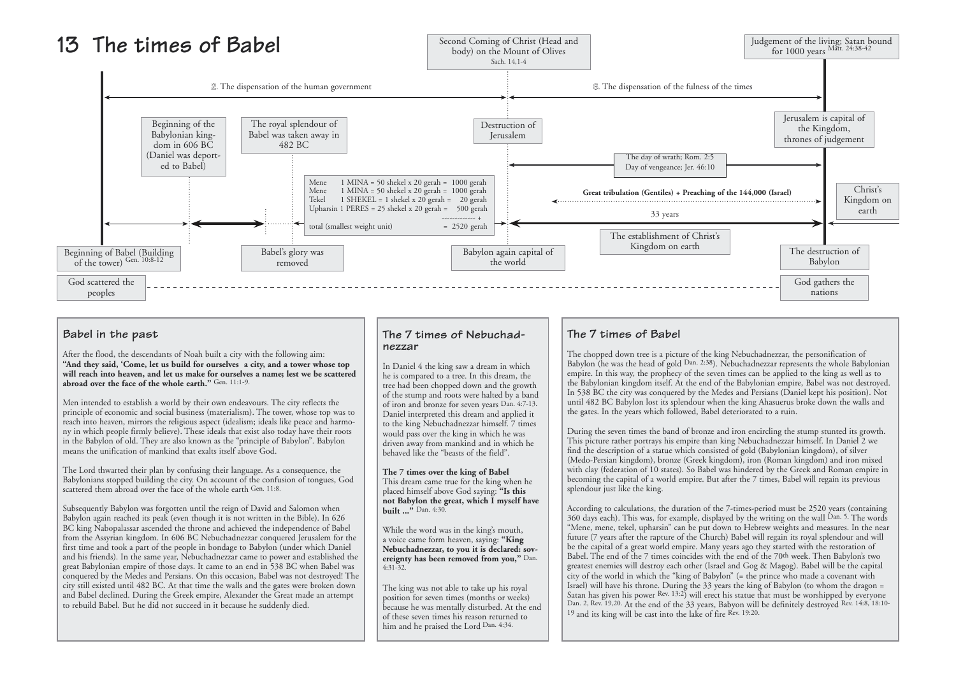

### **Babel in the past**

After the flood, the descendants of Noah built a city with the following aim: **"And they said, 'Come, let us build for ourselves a city, and a tower whose top will reach into heaven, and let us make for ourselves a name; lest we be scattered abroad over the face of the whole earth."** Gen. 11:1-9.

Men intended to establish a world by their own endeavours. The city reflects the principle of economic and social business (materialism). The tower, whose top was to reach into heaven, mirrors the religious aspect (idealism; ideals like peace and harmony in which people firmly believe). These ideals that exist also today have their roots in the Babylon of old. They are also known as the "principle of Babylon". Babylon means the unification of mankind that exalts itself above God.

> **The 7 times over the king of Babel** This dream came true for the king when he placed himself above God saying: **"Is this not Babylon the great, which I myself have built ...**" Dan. 4:30.

The Lord thwarted their plan by confusing their language. As a consequence, the Babylonians stopped building the city. On account of the confusion of tongues, God scattered them abroad over the face of the whole earth Gen. 11:8.

During the seven times the band of bronze and iron encircling the stump stunted its growth. This picture rather portrays his empire than king Nebuchadnezzar himself. In Daniel 2 we find the description of a statue which consisted of gold (Babylonian kingdom), of silver (Medo-Persian kingdom), bronze (Greek kingdom), iron (Roman kingdom) and iron mixed with clay (federation of 10 states). So Babel was hindered by the Greek and Roman empire in becoming the capital of a world empire. But after the 7 times, Babel will regain its previous splendour just like the king.

Subsequently Babylon was forgotten until the reign of David and Salomon when Babylon again reached its peak (even though it is not written in the Bible). In 626 BC king Nabopalassar ascended the throne and achieved the independence of Babel from the Assyrian kingdom. In 606 BC Nebuchadnezzar conquered Jerusalem for the first time and took a part of the people in bondage to Babylon (under which Daniel and his friends). In the same year, Nebuchadnezzar came to power and established the great Babylonian empire of those days. It came to an end in 538 BC when Babel was conquered by the Medes and Persians. On this occasion, Babel was not destroyed! The city still existed until 482 BC. At that time the walls and the gates were broken down and Babel declined. During the Greek empire, Alexander the Great made an attempt to rebuild Babel. But he did not succeed in it because he suddenly died.

### **The 7 times of Nebuchadnezzar**

In Daniel 4 the king saw a dream in which he is compared to a tree. In this dream, the tree had been chopped down and the growth of the stump and roots were halted by a band of iron and bronze for seven years Dan. 4:7-13. Daniel interpreted this dream and applied it to the king Nebuchadnezzar himself. 7 times would pass over the king in which he was driven away from mankind and in which he behaved like the "beasts of the field".

While the word was in the king's mouth, a voice came form heaven, saying: **"King Nebuchadnezzar, to you it is declared: sovereignty has been removed from you,"** Dan. 4:31-32.

The king was not able to take up his royal position for seven times (months or weeks) because he was mentally disturbed. At the end of these seven times his reason returned to him and he praised the Lord Dan. 4:34.

## **The 7 times of Babel**

The chopped down tree is a picture of the king Nebuchadnezzar, the personification of Babylon (he was the head of gold Dan. 2:38). Nebuchadnezzar represents the whole Babylonian empire. In this way, the prophecy of the seven times can be applied to the king as well as to the Babylonian kingdom itself. At the end of the Babylonian empire, Babel was not destroyed. In 538 BC the city was conquered by the Medes and Persians (Daniel kept his position). Not until 482 BC Babylon lost its splendour when the king Ahasuerus broke down the walls and the gates. In the years which followed, Babel deteriorated to a ruin.

According to calculations, the duration of the 7-times-period must be 2520 years (containing 360 days each). This was, for example, displayed by the writing on the wall  $\overline{D}$ an. 5. The words "Mene, mene, tekel, upharsin" can be put down to Hebrew weights and measures. In the near future (7 years after the rapture of the Church) Babel will regain its royal splendour and will be the capital of a great world empire. Many years ago they started with the restoration of Babel. The end of the 7 times coincides with the end of the 70th week. Then Babylon's two greatest enemies will destroy each other (Israel and Gog & Magog). Babel will be the capital city of the world in which the "king of Babylon" (= the prince who made a covenant with Israel) will have his throne. During the 33 years the king of Babylon (to whom the dragon = Satan has given his power Rev. 13:2) will erect his statue that must be worshipped by everyone Dan. 2, Rev. 19,20. At the end of the 33 years, Babyon will be definitely destroyed Rev. 14:8, 18:10- 19 and its king will be cast into the lake of fire Rev. 19:20.